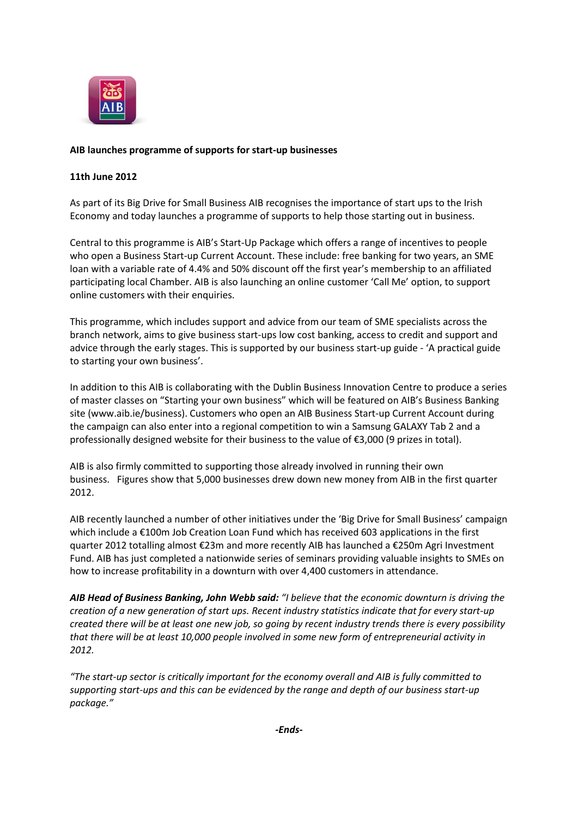

## **AIB launches programme of supports for start-up businesses**

## **11th June 2012**

As part of its Big Drive for Small Business AIB recognises the importance of start ups to the Irish Economy and today launches a programme of supports to help those starting out in business.

Central to this programme is AIB's Start-Up Package which offers a range of incentives to people who open a Business Start-up Current Account. These include: free banking for two years, an SME loan with a variable rate of 4.4% and 50% discount off the first year's membership to an affiliated participating local Chamber. AIB is also launching an online customer 'Call Me' option, to support online customers with their enquiries.

This programme, which includes support and advice from our team of SME specialists across the branch network, aims to give business start-ups low cost banking, access to credit and support and advice through the early stages. This is supported by our business start-up guide - 'A practical guide to starting your own business'.

In addition to this AIB is collaborating with the Dublin Business Innovation Centre to produce a series of master classes on "Starting your own business" which will be featured on AIB's Business Banking site (www.aib.ie/business). Customers who open an AIB Business Start-up Current Account during the campaign can also enter into a regional competition to win a Samsung GALAXY Tab 2 and a professionally designed website for their business to the value of €3,000 (9 prizes in total).

AIB is also firmly committed to supporting those already involved in running their own business. Figures show that 5,000 businesses drew down new money from AIB in the first quarter 2012.

AIB recently launched a number of other initiatives under the 'Big Drive for Small Business' campaign which include a €100m Job Creation Loan Fund which has received 603 applications in the first quarter 2012 totalling almost €23m and more recently AIB has launched a €250m Agri Investment Fund. AIB has just completed a nationwide series of seminars providing valuable insights to SMEs on how to increase profitability in a downturn with over 4,400 customers in attendance.

*AIB Head of Business Banking, John Webb said: "I believe that the economic downturn is driving the creation of a new generation of start ups. Recent industry statistics indicate that for every start-up created there will be at least one new job, so going by recent industry trends there is every possibility that there will be at least 10,000 people involved in some new form of entrepreneurial activity in 2012.*

*"The start-up sector is critically important for the economy overall and AIB is fully committed to supporting start-ups and this can be evidenced by the range and depth of our business start-up package."*